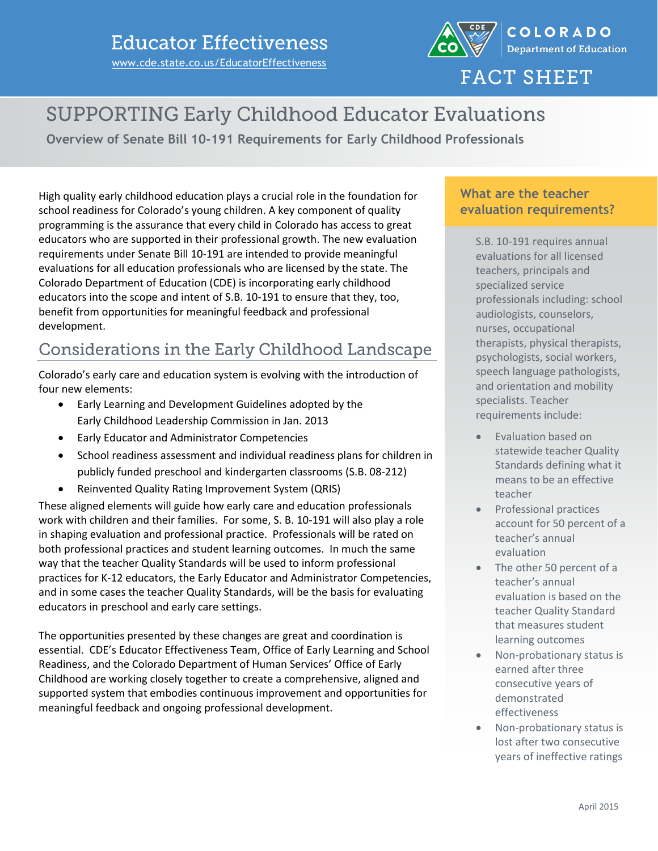

**FACT SHEET** 

# **SUPPORTING Early Childhood Educator Evaluations**

**Overview of Senate Bill 10-191 Requirements for Early Childhood Professionals**

High quality early childhood education plays a crucial role in the foundation for school readiness for Colorado's young children. A key component of quality programming is the assurance that every child in Colorado has access to great educators who are supported in their professional growth. The new evaluation requirements under Senate Bill 10-191 are intended to provide meaningful evaluations for all education professionals who are licensed by the state. The Colorado Department of Education (CDE) is incorporating early childhood educators into the scope and intent of S.B. 10-191 to ensure that they, too, benefit from opportunities for meaningful feedback and professional development.

### Considerations in the Early Childhood Landscape

Colorado's early care and education system is evolving with the introduction of four new elements:

- Early Learning and Development Guidelines adopted by the Early Childhood Leadership Commission in Jan. 2013
- Early Educator and Administrator Competencies
- School readiness assessment and individual readiness plans for children in publicly funded preschool and kindergarten classrooms (S.B. 08-212)
- Reinvented Quality Rating Improvement System (QRIS)

These aligned elements will guide how early care and education professionals work with children and their families. For some, S. B. 10-191 will also play a role in shaping evaluation and professional practice. Professionals will be rated on both professional practices and student learning outcomes. In much the same way that the teacher Quality Standards will be used to inform professional practices for K-12 educators, the Early Educator and Administrator Competencies, and in some cases the teacher Quality Standards, will be the basis for evaluating educators in preschool and early care settings.

The opportunities presented by these changes are great and coordination is essential. CDE's Educator Effectiveness Team, Office of Early Learning and School Readiness, and the Colorado Department of Human Services' Office of Early Childhood are working closely together to create a comprehensive, aligned and supported system that embodies continuous improvement and opportunities for meaningful feedback and ongoing professional development.

#### **What are the teacher evaluation requirements?**

S.B. 10-191 requires annual evaluations for all licensed teachers, principals and specialized service professionals including: school audiologists, counselors, nurses, occupational therapists, physical therapists, psychologists, social workers, speech language pathologists, and orientation and mobility specialists. Teacher requirements include:

- Evaluation based on statewide teacher Quality Standards defining what it means to be an effective teacher
- Professional practices account for 50 percent of a teacher's annual evaluation
- The other 50 percent of a teacher's annual evaluation is based on the teacher Quality Standard that measures student learning outcomes
- Non-probationary status is earned after three consecutive years of demonstrated effectiveness
- Non-probationary status is lost after two consecutive years of ineffective ratings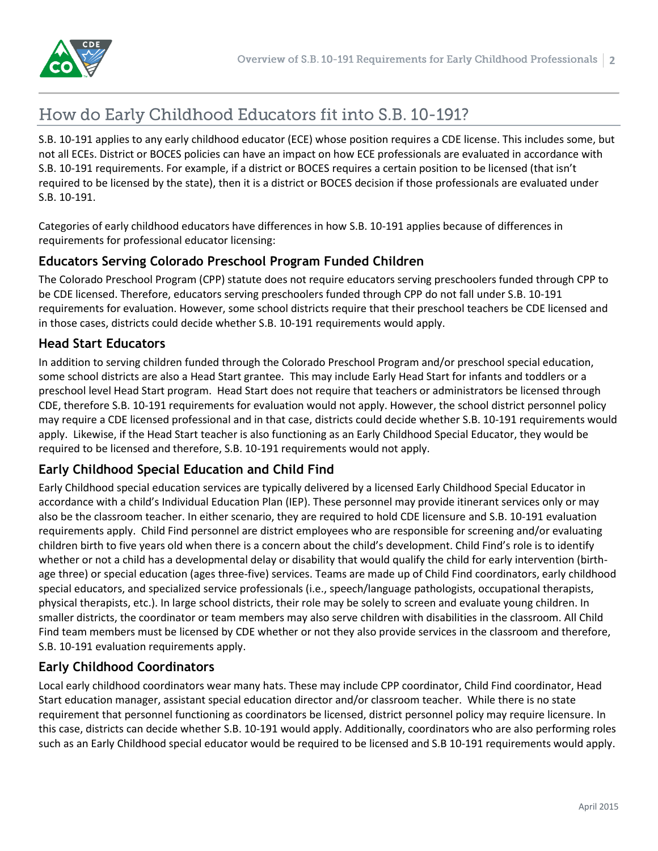## How do Early Childhood Educators fit into S.B. 10-191?

S.B. 10-191 applies to any early childhood educator (ECE) whose position requires a CDE license. This includes some, but not all ECEs. District or BOCES policies can have an impact on how ECE professionals are evaluated in accordance with S.B. 10-191 requirements. For example, if a district or BOCES requires a certain position to be licensed (that isn't required to be licensed by the state), then it is a district or BOCES decision if those professionals are evaluated under S.B. 10-191.

Categories of early childhood educators have differences in how S.B. 10-191 applies because of differences in requirements for professional educator licensing:

#### **Educators Serving Colorado Preschool Program Funded Children**

The Colorado Preschool Program (CPP) statute does not require educators serving preschoolers funded through CPP to be CDE licensed. Therefore, educators serving preschoolers funded through CPP do not fall under S.B. 10-191 requirements for evaluation. However, some school districts require that their preschool teachers be CDE licensed and in those cases, districts could decide whether S.B. 10-191 requirements would apply.

#### **Head Start Educators**

In addition to serving children funded through the Colorado Preschool Program and/or preschool special education, some school districts are also a Head Start grantee. This may include Early Head Start for infants and toddlers or a preschool level Head Start program. Head Start does not require that teachers or administrators be licensed through CDE, therefore S.B. 10-191 requirements for evaluation would not apply. However, the school district personnel policy may require a CDE licensed professional and in that case, districts could decide whether S.B. 10-191 requirements would apply. Likewise, if the Head Start teacher is also functioning as an Early Childhood Special Educator, they would be required to be licensed and therefore, S.B. 10-191 requirements would not apply.

#### **Early Childhood Special Education and Child Find**

Early Childhood special education services are typically delivered by a licensed Early Childhood Special Educator in accordance with a child's Individual Education Plan (IEP). These personnel may provide itinerant services only or may also be the classroom teacher. In either scenario, they are required to hold CDE licensure and S.B. 10-191 evaluation requirements apply. Child Find personnel are district employees who are responsible for screening and/or evaluating children birth to five years old when there is a concern about the child's development. Child Find's role is to identify whether or not a child has a developmental delay or disability that would qualify the child for early intervention (birthage three) or special education (ages three-five) services. Teams are made up of Child Find coordinators, early childhood special educators, and specialized service professionals (i.e., speech/language pathologists, occupational therapists, physical therapists, etc.). In large school districts, their role may be solely to screen and evaluate young children. In smaller districts, the coordinator or team members may also serve children with disabilities in the classroom. All Child Find team members must be licensed by CDE whether or not they also provide services in the classroom and therefore, S.B. 10-191 evaluation requirements apply.

#### **Early Childhood Coordinators**

Local early childhood coordinators wear many hats. These may include CPP coordinator, Child Find coordinator, Head Start education manager, assistant special education director and/or classroom teacher. While there is no state requirement that personnel functioning as coordinators be licensed, district personnel policy may require licensure. In this case, districts can decide whether S.B. 10-191 would apply. Additionally, coordinators who are also performing roles such as an Early Childhood special educator would be required to be licensed and S.B 10-191 requirements would apply.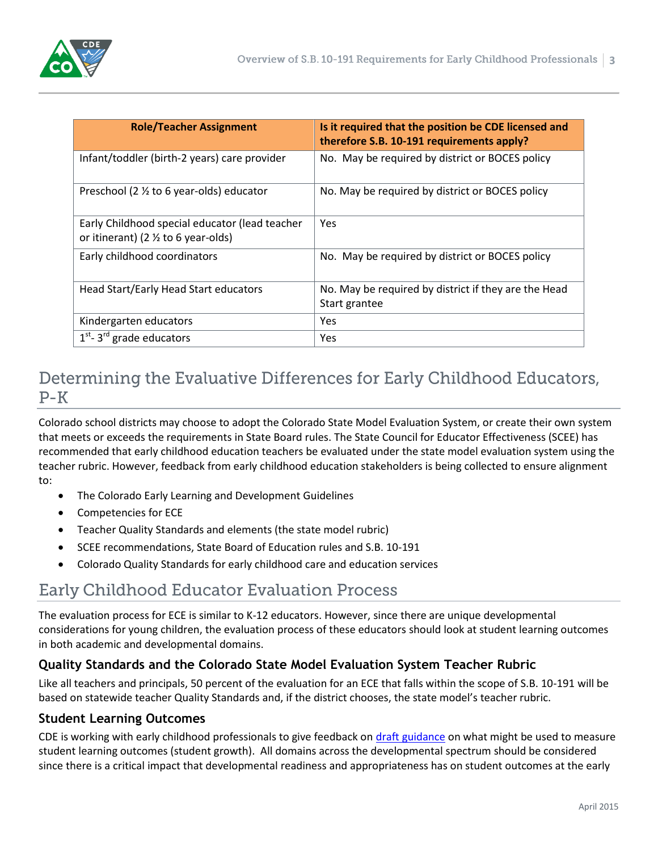

| <b>Role/Teacher Assignment</b>                                                                   | Is it required that the position be CDE licensed and<br>therefore S.B. 10-191 requirements apply? |
|--------------------------------------------------------------------------------------------------|---------------------------------------------------------------------------------------------------|
| Infant/toddler (birth-2 years) care provider                                                     | No. May be required by district or BOCES policy                                                   |
| Preschool (2 1/2 to 6 year-olds) educator                                                        | No. May be required by district or BOCES policy                                                   |
| Early Childhood special educator (lead teacher<br>or itinerant) (2 $\frac{1}{2}$ to 6 year-olds) | Yes                                                                                               |
| Early childhood coordinators                                                                     | No. May be required by district or BOCES policy                                                   |
| Head Start/Early Head Start educators                                                            | No. May be required by district if they are the Head<br>Start grantee                             |
| Kindergarten educators                                                                           | Yes                                                                                               |
| $\overline{1}^{st}$ - 3 <sup>rd</sup> grade educators                                            | Yes                                                                                               |

## Determining the Evaluative Differences for Early Childhood Educators,  $P-K$

Colorado school districts may choose to adopt the Colorado State Model Evaluation System, or create their own system that meets or exceeds the requirements in State Board rules. The State Council for Educator Effectiveness (SCEE) has recommended that early childhood education teachers be evaluated under the state model evaluation system using the teacher rubric. However, feedback from early childhood education stakeholders is being collected to ensure alignment to:

- The Colorado Early Learning and Development Guidelines
- Competencies for ECE
- Teacher Quality Standards and elements (the state model rubric)
- SCEE recommendations, State Board of Education rules and S.B. 10-191
- Colorado Quality Standards for early childhood care and education services

### **Early Childhood Educator Evaluation Process**

The evaluation process for ECE is similar to K-12 educators. However, since there are unique developmental considerations for young children, the evaluation process of these educators should look at student learning outcomes in both academic and developmental domains.

#### **Quality Standards and the Colorado State Model Evaluation System Teacher Rubric**

Like all teachers and principals, 50 percent of the evaluation for an ECE that falls within the scope of S.B. 10-191 will be based on statewide teacher Quality Standards and, if the district chooses, the state model's teacher rubric.

#### **Student Learning Outcomes**

CDE is working with early childhood professionals to give feedback o[n draft guidance](http://www.cde.state.co.us/EducatorEffectiveness/StudentGrowthGuide.asp) on what might be used to measure student learning outcomes (student growth). All domains across the developmental spectrum should be considered since there is a critical impact that developmental readiness and appropriateness has on student outcomes at the early